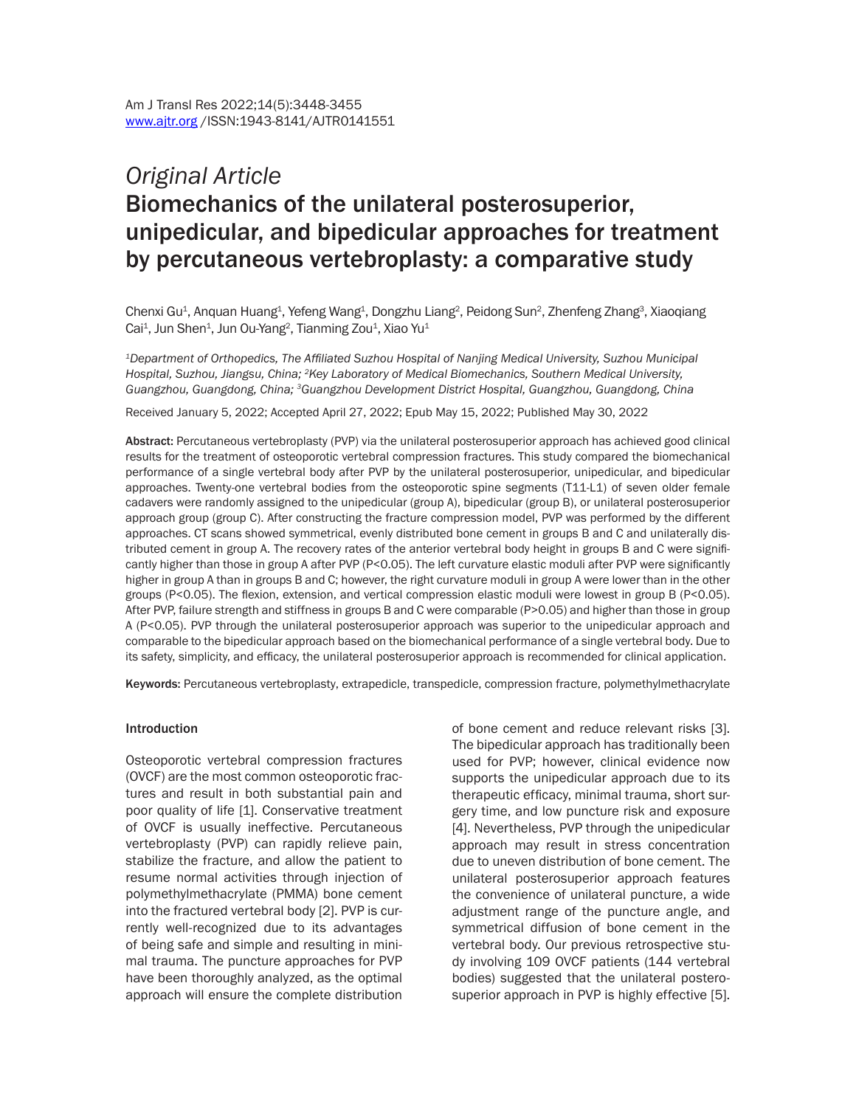# *Original Article* Biomechanics of the unilateral posterosuperior, unipedicular, and bipedicular approaches for treatment by percutaneous vertebroplasty: a comparative study

Chenxi Gu<sup>1</sup>, Anquan Huang<sup>1</sup>, Yefeng Wang<sup>1</sup>, Dongzhu Liang<sup>2</sup>, Peidong Sun<sup>2</sup>, Zhenfeng Zhang<sup>3</sup>, Xiaoqiang Cai<sup>1</sup>, Jun Shen<sup>1</sup>, Jun Ou-Yang<sup>2</sup>, Tianming Zou<sup>1</sup>, Xiao Yu<sup>1</sup>

*<sup>1</sup>Department of Orthopedics, The Affiliated Suzhou Hospital of Nanjing Medical University, Suzhou Municipal Hospital, Suzhou, Jiangsu, China; <sup>2</sup>Key Laboratory of Medical Biomechanics, Southern Medical University, Guangzhou, Guangdong, China; <sup>3</sup>Guangzhou Development District Hospital, Guangzhou, Guangdong, China*

Received January 5, 2022; Accepted April 27, 2022; Epub May 15, 2022; Published May 30, 2022

Abstract: Percutaneous vertebroplasty (PVP) via the unilateral posterosuperior approach has achieved good clinical results for the treatment of osteoporotic vertebral compression fractures. This study compared the biomechanical performance of a single vertebral body after PVP by the unilateral posterosuperior, unipedicular, and bipedicular approaches. Twenty-one vertebral bodies from the osteoporotic spine segments (T11-L1) of seven older female cadavers were randomly assigned to the unipedicular (group A), bipedicular (group B), or unilateral posterosuperior approach group (group C). After constructing the fracture compression model, PVP was performed by the different approaches. CT scans showed symmetrical, evenly distributed bone cement in groups B and C and unilaterally distributed cement in group A. The recovery rates of the anterior vertebral body height in groups B and C were significantly higher than those in group A after PVP (P<0.05). The left curvature elastic moduli after PVP were significantly higher in group A than in groups B and C; however, the right curvature moduli in group A were lower than in the other groups (P<0.05). The flexion, extension, and vertical compression elastic moduli were lowest in group B (P<0.05). After PVP, failure strength and stiffness in groups B and C were comparable (P>0.05) and higher than those in group A (P<0.05). PVP through the unilateral posterosuperior approach was superior to the unipedicular approach and comparable to the bipedicular approach based on the biomechanical performance of a single vertebral body. Due to its safety, simplicity, and efficacy, the unilateral posterosuperior approach is recommended for clinical application.

Keywords: Percutaneous vertebroplasty, extrapedicle, transpedicle, compression fracture, polymethylmethacrylate

#### Introduction

Osteoporotic vertebral compression fractures (OVCF) are the most common osteoporotic fractures and result in both substantial pain and poor quality of life [1]. Conservative treatment of OVCF is usually ineffective. Percutaneous vertebroplasty (PVP) can rapidly relieve pain, stabilize the fracture, and allow the patient to resume normal activities through injection of polymethylmethacrylate (PMMA) bone cement into the fractured vertebral body [2]. PVP is currently well-recognized due to its advantages of being safe and simple and resulting in minimal trauma. The puncture approaches for PVP have been thoroughly analyzed, as the optimal approach will ensure the complete distribution

of bone cement and reduce relevant risks [3]. The bipedicular approach has traditionally been used for PVP; however, clinical evidence now supports the unipedicular approach due to its therapeutic efficacy, minimal trauma, short surgery time, and low puncture risk and exposure [4]. Nevertheless, PVP through the unipedicular approach may result in stress concentration due to uneven distribution of bone cement. The unilateral posterosuperior approach features the convenience of unilateral puncture, a wide adjustment range of the puncture angle, and symmetrical diffusion of bone cement in the vertebral body. Our previous retrospective study involving 109 OVCF patients (144 vertebral bodies) suggested that the unilateral posterosuperior approach in PVP is highly effective [5].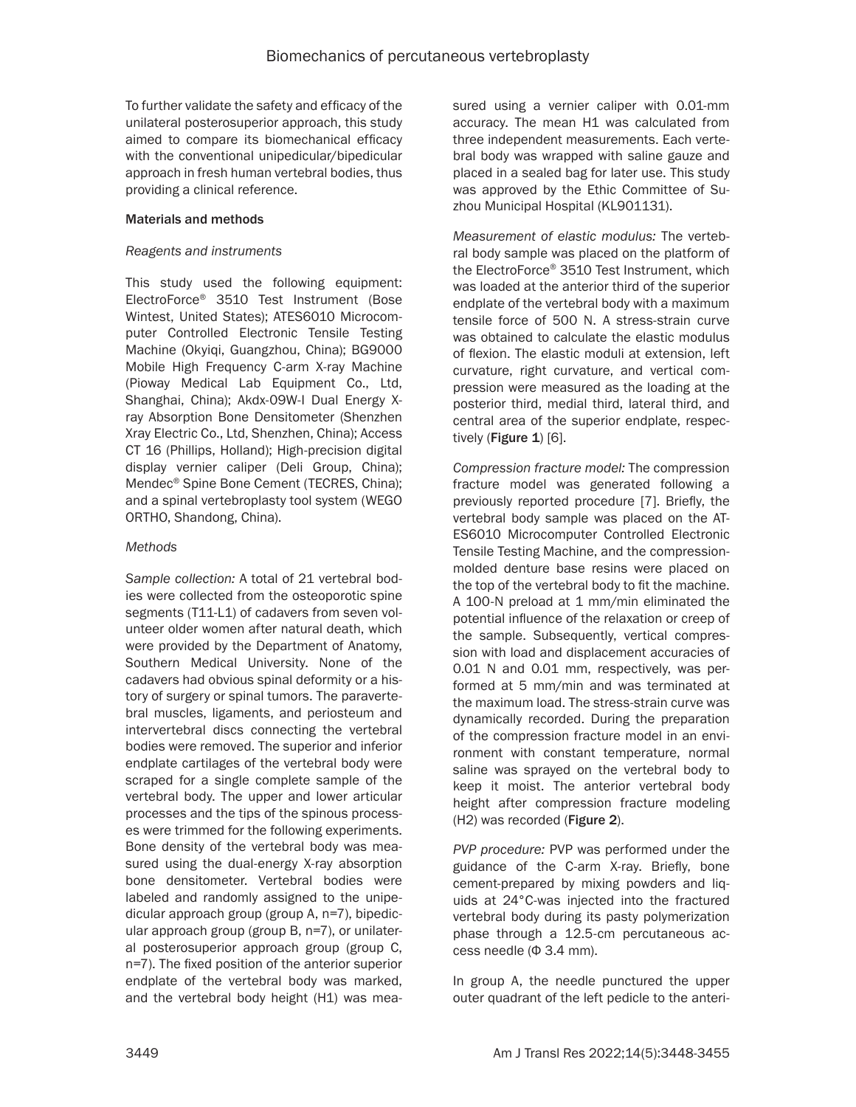To further validate the safety and efficacy of the unilateral posterosuperior approach, this study aimed to compare its biomechanical efficacy with the conventional unipedicular/bipedicular approach in fresh human vertebral bodies, thus providing a clinical reference.

## Materials and methods

## *Reagents and instruments*

This study used the following equipment: ElectroForce® 3510 Test Instrument (Bose Wintest, United States); ATES6010 Microcomputer Controlled Electronic Tensile Testing Machine (Okyiqi, Guangzhou, China); BG9000 Mobile High Frequency C-arm X-ray Machine (Pioway Medical Lab Equipment Co., Ltd, Shanghai, China); Akdx-09W-I Dual Energy Xray Absorption Bone Densitometer (Shenzhen Xray Electric Co., Ltd, Shenzhen, China); Access CT 16 (Phillips, Holland); High-precision digital display vernier caliper (Deli Group, China); Mendec® Spine Bone Cement (TECRES, China); and a spinal vertebroplasty tool system (WEGO ORTHO, Shandong, China).

## *Methods*

*Sample collection:* A total of 21 vertebral bodies were collected from the osteoporotic spine segments (T11-L1) of cadavers from seven volunteer older women after natural death, which were provided by the Department of Anatomy, Southern Medical University. None of the cadavers had obvious spinal deformity or a history of surgery or spinal tumors. The paravertebral muscles, ligaments, and periosteum and intervertebral discs connecting the vertebral bodies were removed. The superior and inferior endplate cartilages of the vertebral body were scraped for a single complete sample of the vertebral body. The upper and lower articular processes and the tips of the spinous processes were trimmed for the following experiments. Bone density of the vertebral body was measured using the dual-energy X-ray absorption bone densitometer. Vertebral bodies were labeled and randomly assigned to the unipedicular approach group (group A, n=7), bipedicular approach group (group B, n=7), or unilateral posterosuperior approach group (group C, n=7). The fixed position of the anterior superior endplate of the vertebral body was marked, and the vertebral body height (H1) was measured using a vernier caliper with 0.01-mm accuracy. The mean H1 was calculated from three independent measurements. Each vertebral body was wrapped with saline gauze and placed in a sealed bag for later use. This study was approved by the Ethic Committee of Suzhou Municipal Hospital (KL901131).

*Measurement of elastic modulus:* The vertebral body sample was placed on the platform of the ElectroForce® 3510 Test Instrument, which was loaded at the anterior third of the superior endplate of the vertebral body with a maximum tensile force of 500 N. A stress-strain curve was obtained to calculate the elastic modulus of flexion. The elastic moduli at extension, left curvature, right curvature, and vertical compression were measured as the loading at the posterior third, medial third, lateral third, and central area of the superior endplate, respectively (Figure  $1$ ) [6].

*Compression fracture model:* The compression fracture model was generated following a previously reported procedure [7]. Briefly, the vertebral body sample was placed on the AT-ES6010 Microcomputer Controlled Electronic Tensile Testing Machine, and the compressionmolded denture base resins were placed on the top of the vertebral body to fit the machine. A 100-N preload at 1 mm/min eliminated the potential influence of the relaxation or creep of the sample. Subsequently, vertical compression with load and displacement accuracies of 0.01 N and 0.01 mm, respectively, was performed at 5 mm/min and was terminated at the maximum load. The stress-strain curve was dynamically recorded. During the preparation of the compression fracture model in an environment with constant temperature, normal saline was sprayed on the vertebral body to keep it moist. The anterior vertebral body height after compression fracture modeling (H2) was recorded (Figure 2).

*PVP procedure:* PVP was performed under the guidance of the C-arm X-ray. Briefly, bone cement-prepared by mixing powders and liquids at 24°C-was injected into the fractured vertebral body during its pasty polymerization phase through a 12.5-cm percutaneous access needle (Φ 3.4 mm).

In group A, the needle punctured the upper outer quadrant of the left pedicle to the anteri-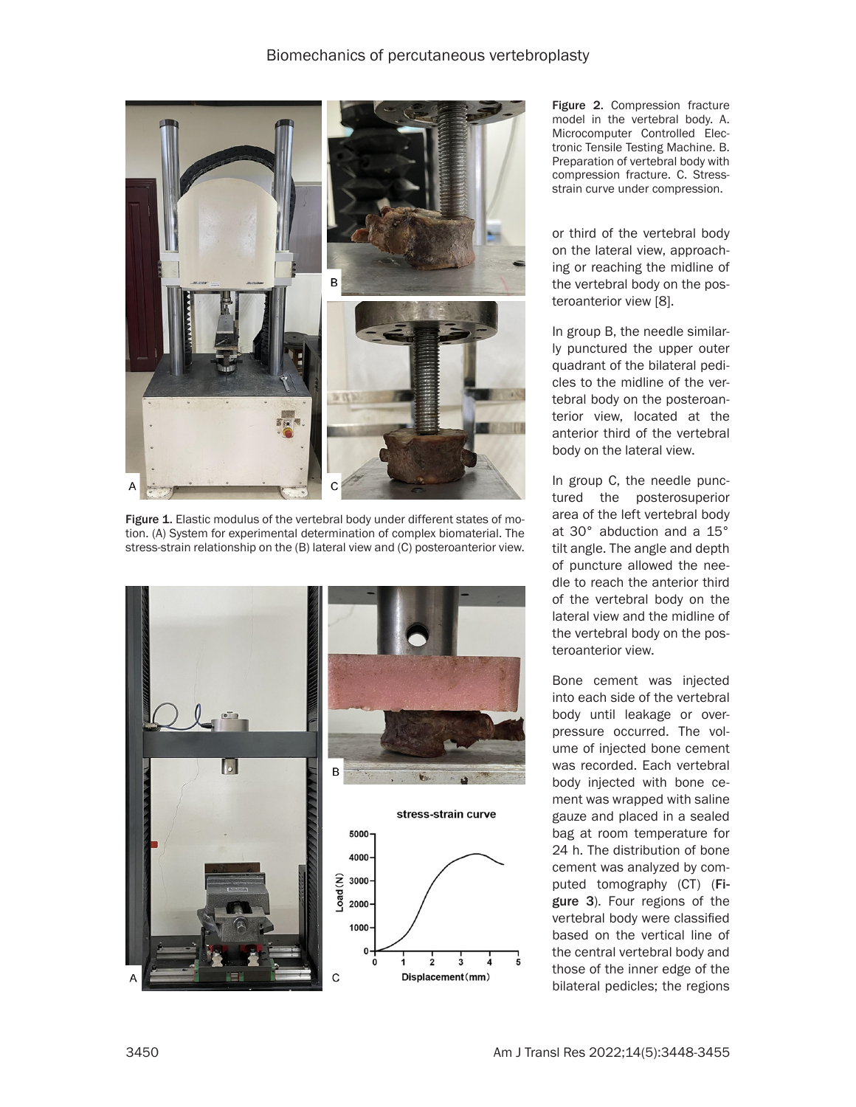

Figure 1. Elastic modulus of the vertebral body under different states of motion. (A) System for experimental determination of complex biomaterial. The stress-strain relationship on the (B) lateral view and (C) posteroanterior view.



Figure 2. Compression fracture model in the vertebral body. A. Microcomputer Controlled Electronic Tensile Testing Machine. B. Preparation of vertebral body with compression fracture. C. Stressstrain curve under compression.

or third of the vertebral body on the lateral view, approaching or reaching the midline of the vertebral body on the posteroanterior view [8].

In group B, the needle similarly punctured the upper outer quadrant of the bilateral pedicles to the midline of the vertebral body on the posteroanterior view, located at the anterior third of the vertebral body on the lateral view.

In group C, the needle punctured the posterosuperior area of the left vertebral body at 30° abduction and a 15° tilt angle. The angle and depth of puncture allowed the needle to reach the anterior third of the vertebral body on the lateral view and the midline of the vertebral body on the posteroanterior view.

Bone cement was injected into each side of the vertebral body until leakage or overpressure occurred. The volume of injected bone cement was recorded. Each vertebral body injected with bone cement was wrapped with saline gauze and placed in a sealed bag at room temperature for 24 h. The distribution of bone cement was analyzed by computed tomography (CT) (Figure 3). Four regions of the vertebral body were classified based on the vertical line of the central vertebral body and those of the inner edge of the bilateral pedicles; the regions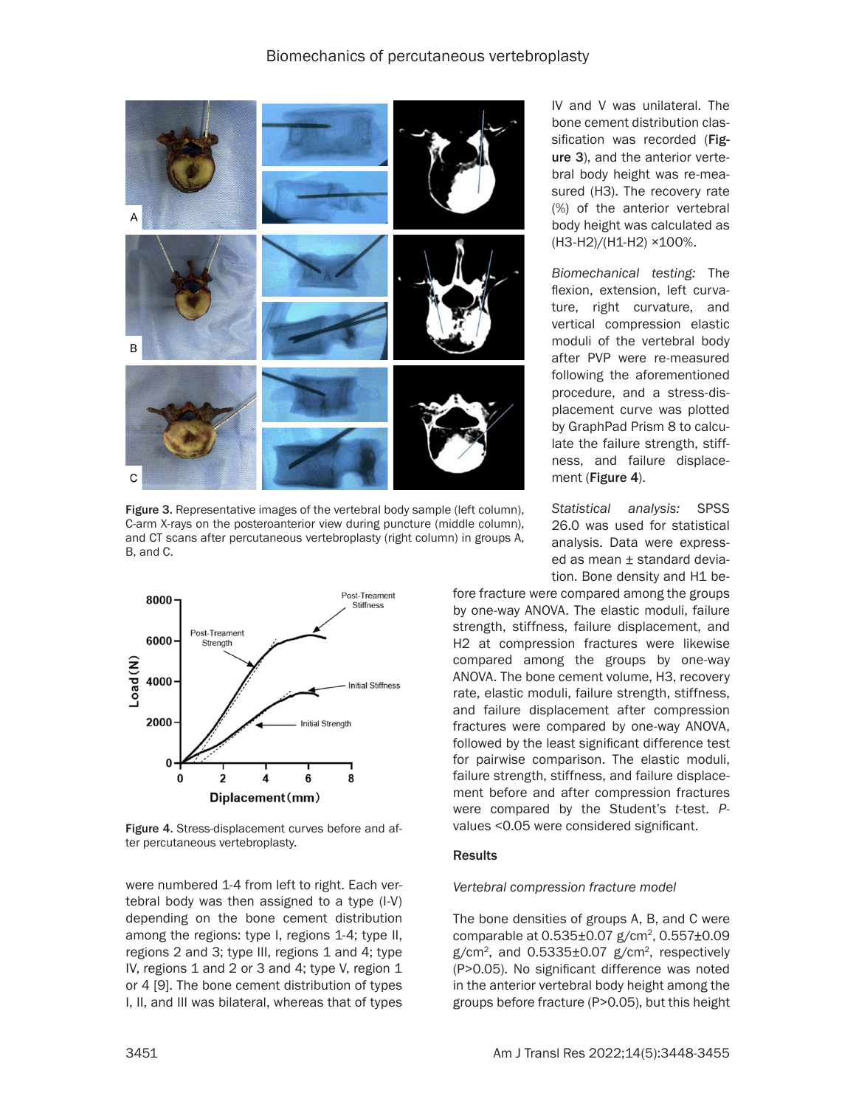

Figure 3. Representative images of the vertebral body sample (left column), C-arm X-rays on the posteroanterior view during puncture (middle column), and CT scans after percutaneous vertebroplasty (right column) in groups A, B, and C.



Figure 4. Stress-displacement curves before and after percutaneous vertebroplasty.

were numbered 1-4 from left to right. Each vertebral body was then assigned to a type (I-V) depending on the bone cement distribution among the regions: type I, regions 1-4; type II, regions 2 and 3; type III, regions 1 and 4; type IV, regions 1 and 2 or 3 and 4; type V, region 1 or 4 [9]. The bone cement distribution of types I, II, and III was bilateral, whereas that of types IV and V was unilateral. The bone cement distribution classification was recorded (Figure 3), and the anterior vertebral body height was re-measured (H3). The recovery rate (%) of the anterior vertebral body height was calculated as (H3-H2)/(H1-H2) ×100%.

*Biomechanical testing:* The flexion, extension, left curvature, right curvature, and vertical compression elastic moduli of the vertebral body after PVP were re-measured following the aforementioned procedure, and a stress-displacement curve was plotted by GraphPad Prism 8 to calculate the failure strength, stiffness, and failure displacement (Figure 4).

*Statistical analysis:* SPSS 26.0 was used for statistical analysis. Data were expressed as mean ± standard deviation. Bone density and H1 be-

fore fracture were compared among the groups by one-way ANOVA. The elastic moduli, failure strength, stiffness, failure displacement, and H2 at compression fractures were likewise compared among the groups by one-way ANOVA. The bone cement volume, H3, recovery rate, elastic moduli, failure strength, stiffness, and failure displacement after compression fractures were compared by one-way ANOVA, followed by the least significant difference test for pairwise comparison. The elastic moduli, failure strength, stiffness, and failure displacement before and after compression fractures were compared by the Student's *t*-test. *P*values <0.05 were considered significant.

### Results

#### *Vertebral compression fracture model*

The bone densities of groups A, B, and C were comparable at  $0.535\pm0.07$  g/cm<sup>2</sup>,  $0.557\pm0.09$ g/cm<sup>2</sup>, and 0.5335±0.07 g/cm<sup>2</sup>, respectively (P>0.05). No significant difference was noted in the anterior vertebral body height among the groups before fracture (P>0.05), but this height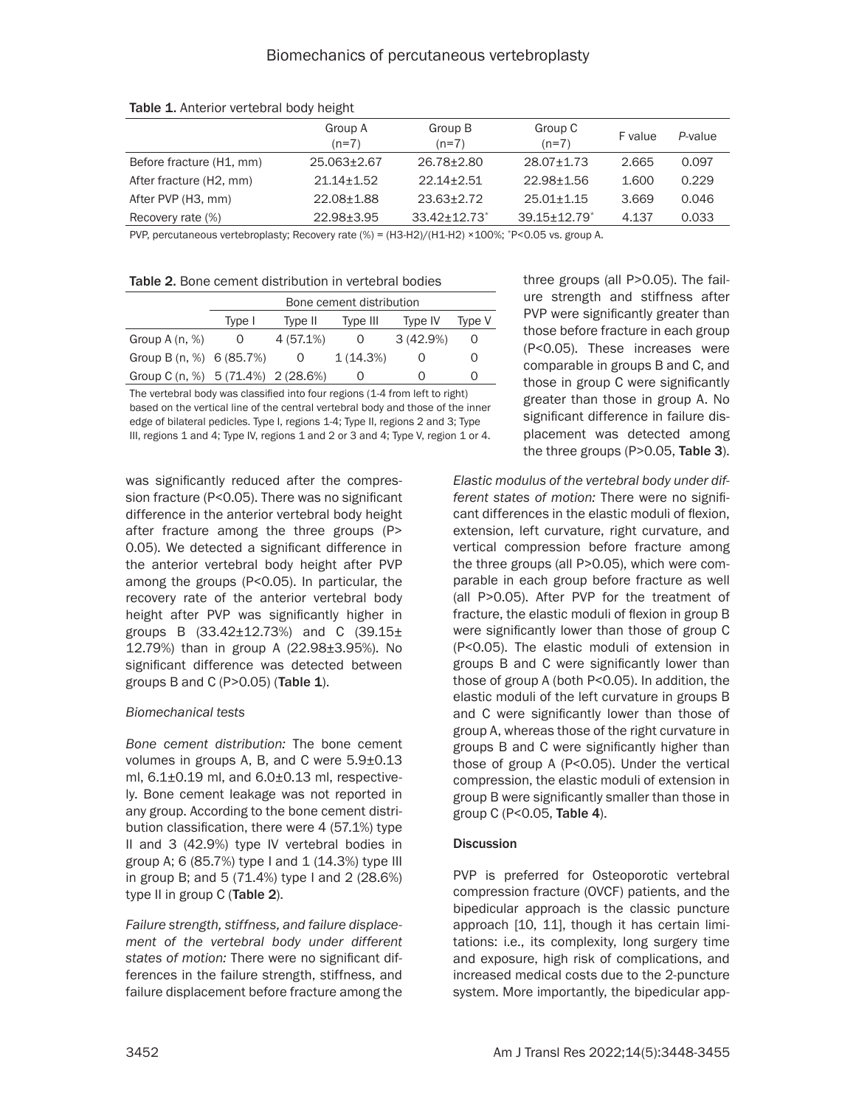|                          | Group A<br>$(n=7)$ | Group B<br>$(n=7)$ | Group C<br>$(n=7)$ | F value | P-value |
|--------------------------|--------------------|--------------------|--------------------|---------|---------|
| Before fracture (H1, mm) | 25.063±2.67        | 26.78±2.80         | 28.07+1.73         | 2.665   | 0.097   |
| After fracture (H2, mm)  | $21.14 + 1.52$     | $22.14 + 2.51$     | 22.98+1.56         | 1.600   | 0.229   |
| After PVP (H3, mm)       | 22.08+1.88         | $23.63 + 2.72$     | $25.01 + 1.15$     | 3.669   | 0.046   |
| Recovery rate (%)        | 22.98±3.95         | $33.42 + 12.73$ *  | 39.15+12.79*       | 4.137   | 0.033   |

Table 1. Anterior vertebral body height

PVP, percutaneous vertebroplasty; Recovery rate (%) = (H3-H2)/(H1-H2) ×100%; \*P<0.05 vs. group A.

Table 2. Bone cement distribution in vertebral bodies

|                                      | Bone cement distribution |          |          |          |        |
|--------------------------------------|--------------------------|----------|----------|----------|--------|
|                                      | Type I                   | Type II  | Type III | Type IV  | Type V |
| Group $A(n, %)$                      |                          | 4(57.1%) | $\Omega$ | 3(42.9%) |        |
| Group B $(n, %)$ 6 (85.7%)           |                          |          | 1(14.3%) |          |        |
| Group C $(n, %)$ 5 (71.4%) 2 (28.6%) |                          |          |          |          |        |

The vertebral body was classified into four regions (1-4 from left to right) based on the vertical line of the central vertebral body and those of the inner edge of bilateral pedicles. Type I, regions 1-4; Type II, regions 2 and 3; Type III, regions 1 and 4; Type IV, regions 1 and 2 or 3 and 4; Type V, region 1 or 4.

was significantly reduced after the compression fracture (P<0.05). There was no significant difference in the anterior vertebral body height after fracture among the three groups (P> 0.05). We detected a significant difference in the anterior vertebral body height after PVP among the groups (P<0.05). In particular, the recovery rate of the anterior vertebral body height after PVP was significantly higher in groups B  $(33.42 \pm 12.73%)$  and C  $(39.15 \pm$ 12.79%) than in group A (22.98±3.95%). No significant difference was detected between groups B and C  $(P>0.05)$  (Table 1).

### *Biomechanical tests*

*Bone cement distribution:* The bone cement volumes in groups A, B, and C were 5.9±0.13 ml, 6.1±0.19 ml, and 6.0±0.13 ml, respectively. Bone cement leakage was not reported in any group. According to the bone cement distribution classification, there were 4 (57.1%) type II and 3 (42.9%) type IV vertebral bodies in group A; 6 (85.7%) type I and  $1$  (14.3%) type III in group B; and 5 (71.4%) type I and 2 (28.6%) type II in group C (Table 2).

*Failure strength, stiffness, and failure displacement of the vertebral body under different states of motion:* There were no significant differences in the failure strength, stiffness, and failure displacement before fracture among the three groups (all P>0.05). The failure strength and stiffness after PVP were significantly greater than those before fracture in each group (P<0.05). These increases were comparable in groups B and C, and those in group C were significantly greater than those in group A. No significant difference in failure displacement was detected among the three groups (P>0.05, Table 3).

*Elastic modulus of the vertebral body under different states of motion:* There were no significant differences in the elastic moduli of flexion, extension, left curvature, right curvature, and vertical compression before fracture among the three groups (all P>0.05), which were comparable in each group before fracture as well (all P>0.05). After PVP for the treatment of fracture, the elastic moduli of flexion in group B were significantly lower than those of group C (P<0.05). The elastic moduli of extension in groups B and C were significantly lower than those of group A (both P<0.05). In addition, the elastic moduli of the left curvature in groups B and C were significantly lower than those of group A, whereas those of the right curvature in groups B and C were significantly higher than those of group A (P<0.05). Under the vertical compression, the elastic moduli of extension in group B were significantly smaller than those in group C (P<0.05, Table 4).

### **Discussion**

PVP is preferred for Osteoporotic vertebral compression fracture (OVCF) patients, and the bipedicular approach is the classic puncture approach [10, 11], though it has certain limitations: i.e., its complexity, long surgery time and exposure, high risk of complications, and increased medical costs due to the 2-puncture system. More importantly, the bipedicular app-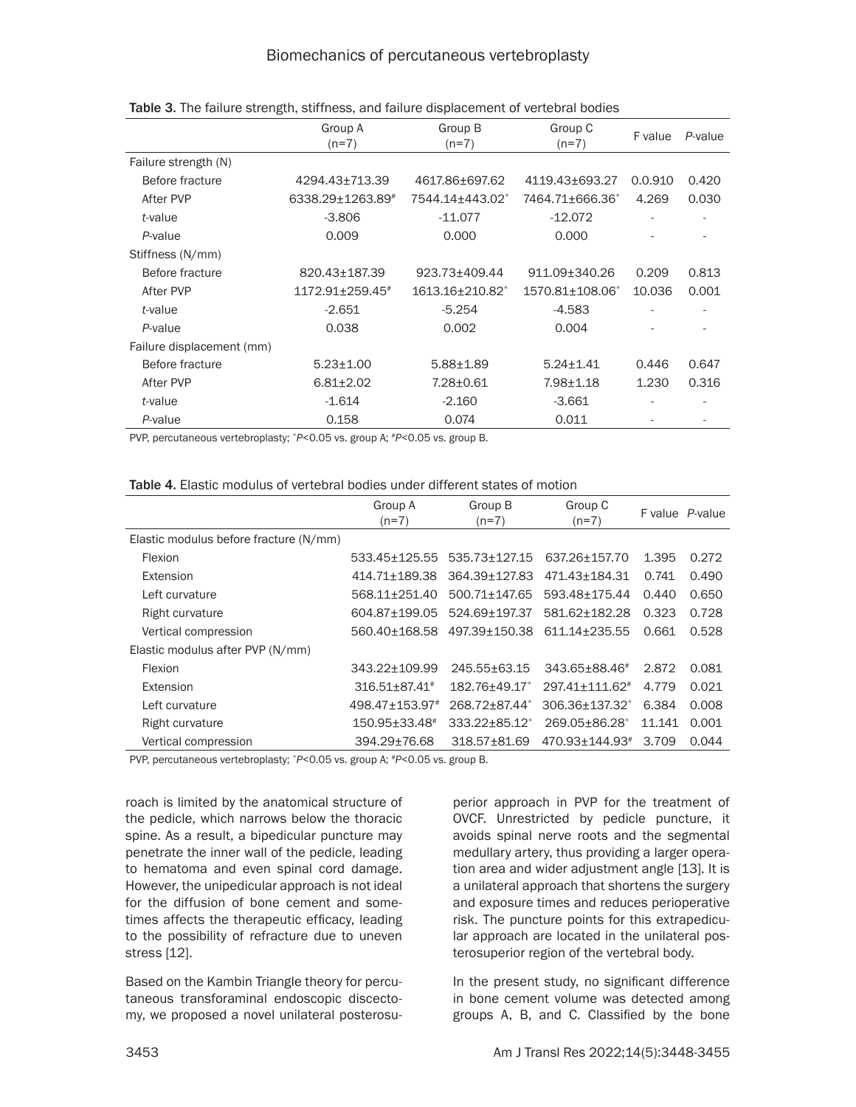|                           | Group A<br>$(n=7)$ | Group B<br>$(n=7)$          | Group C<br>$(n=7)$ | F value | P-value |
|---------------------------|--------------------|-----------------------------|--------------------|---------|---------|
| Failure strength (N)      |                    |                             |                    |         |         |
| Before fracture           | 4294.43±713.39     | 4617.86+697.62              | 4119.43+693.27     | 0.0.910 | 0.420   |
| After PVP                 | 6338.29±1263.89#   | 7544.14±443.02 <sup>*</sup> | 7464.71+666.36*    | 4.269   | 0.030   |
| t-value                   | $-3.806$           | $-11.077$                   | $-12.072$          |         |         |
| P-value                   | 0.009              | 0.000                       | 0.000              |         |         |
| Stiffness (N/mm)          |                    |                             |                    |         |         |
| Before fracture           | 820.43±187.39      | 923.73+409.44               | 911.09+340.26      | 0.209   | 0.813   |
| After PVP                 | 1172.91±259.45#    | 1613.16+210.82*             | 1570.81+108.06*    | 10.036  | 0.001   |
| t-value                   | $-2.651$           | $-5.254$                    | $-4.583$           |         |         |
| P-value                   | 0.038              | 0.002                       | 0.004              |         |         |
| Failure displacement (mm) |                    |                             |                    |         |         |
| Before fracture           | $5.23 \pm 1.00$    | $5.88 \pm 1.89$             | $5.24 + 1.41$      | 0.446   | 0.647   |
| After PVP                 | $6.81 \pm 2.02$    | 7.28±0.61                   | $7.98 + 1.18$      | 1.230   | 0.316   |
| t-value                   | $-1.614$           | $-2.160$                    | $-3.661$           |         |         |
| P-value                   | 0.158              | 0.074                       | 0.011              |         |         |

Table 3. The failure strength, stiffness, and failure displacement of vertebral bodies

PVP, percutaneous vertebroplasty; \**P*<0.05 vs. group A; #*P*<0.05 vs. group B.

| <b>Table 4.</b> Elastic modulus of vertebral bodies under different states of motion |  |  |  |
|--------------------------------------------------------------------------------------|--|--|--|
|--------------------------------------------------------------------------------------|--|--|--|

| Group A                       | Group B          | Group C                    |         | F value P-value |
|-------------------------------|------------------|----------------------------|---------|-----------------|
|                               |                  |                            |         |                 |
|                               |                  |                            |         |                 |
| 533.45+125.55                 | 535.73+127.15    | 637.26+157.70              | 1.395   | 0.272           |
| 414.71+189.38                 | 364.39+127.83    | 471.43+184.31              | 0.741   | 0.490           |
| 568.11+251.40                 | 500.71+147.65    | 593.48±175.44              | 0.440   | 0.650           |
| 604.87+199.05                 | 524.69+197.37    | 581.62+182.28              | 0.323   | 0.728           |
| 560.40+168.58                 | 497.39+150.38    | 611.14+235.55              | 0.661   | 0.528           |
|                               |                  |                            |         |                 |
| 343.22+109.99                 | 245.55+63.15     | 343.65+88.46#              | 2.872   | 0.081           |
| $316.51 + 87.41$ <sup>#</sup> | $182.76 + 49.17$ | 297.41+111.62#             | 4.779   | 0.021           |
| 498.47±153.97#                | 268.72+87.44*    | 306.36+137.32 <sup>*</sup> | 6.384   | 0.008           |
| $150.95 \pm 33.48^*$          | 333.22+85.12*    | 269.05+86.28               | 11.141  | 0.001           |
| 394.29±76.68                  | 318.57±81.69     | 470.93±144.93#             | 3.709   | 0.044           |
|                               | $(n=7)$          | $(n=7)$                    | $(n=7)$ |                 |

PVP, percutaneous vertebroplasty; \**P*<0.05 vs. group A; #*P*<0.05 vs. group B.

roach is limited by the anatomical structure of the pedicle, which narrows below the thoracic spine. As a result, a bipedicular puncture may penetrate the inner wall of the pedicle, leading to hematoma and even spinal cord damage. However, the unipedicular approach is not ideal for the diffusion of bone cement and sometimes affects the therapeutic efficacy, leading to the possibility of refracture due to uneven stress [12].

Based on the Kambin Triangle theory for percutaneous transforaminal endoscopic discectomy, we proposed a novel unilateral posterosu-

perior approach in PVP for the treatment of OVCF. Unrestricted by pedicle puncture, it avoids spinal nerve roots and the segmental medullary artery, thus providing a larger operation area and wider adjustment angle [13]. It is a unilateral approach that shortens the surgery and exposure times and reduces perioperative risk. The puncture points for this extrapedicular approach are located in the unilateral posterosuperior region of the vertebral body.

In the present study, no significant difference in bone cement volume was detected among groups A, B, and C. Classified by the bone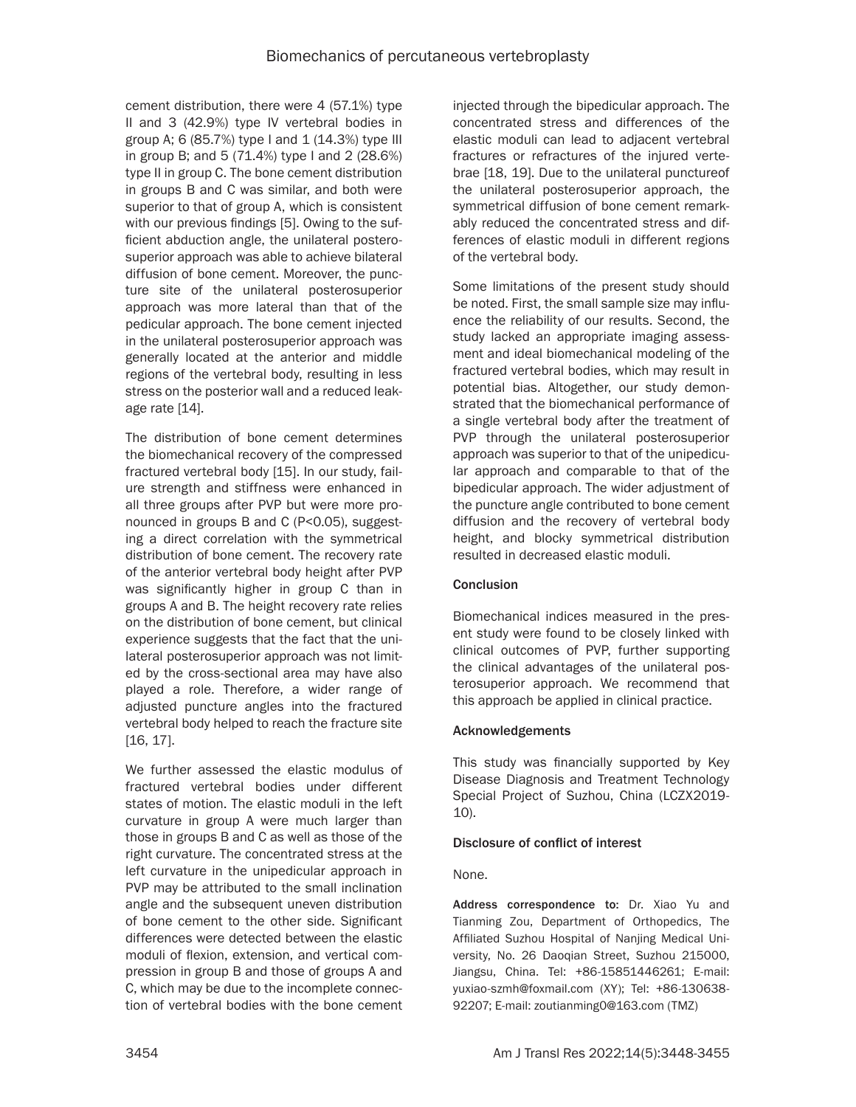cement distribution, there were 4 (57.1%) type II and 3 (42.9%) type IV vertebral bodies in group A; 6 (85.7%) type I and  $1$  (14.3%) type III in group B; and 5 (71.4%) type I and 2 (28.6%) type II in group C. The bone cement distribution in groups B and C was similar, and both were superior to that of group A, which is consistent with our previous findings [5]. Owing to the sufficient abduction angle, the unilateral posterosuperior approach was able to achieve bilateral diffusion of bone cement. Moreover, the puncture site of the unilateral posterosuperior approach was more lateral than that of the pedicular approach. The bone cement injected in the unilateral posterosuperior approach was generally located at the anterior and middle regions of the vertebral body, resulting in less stress on the posterior wall and a reduced leakage rate [14].

The distribution of bone cement determines the biomechanical recovery of the compressed fractured vertebral body [15]. In our study, failure strength and stiffness were enhanced in all three groups after PVP but were more pronounced in groups B and C (P<0.05), suggesting a direct correlation with the symmetrical distribution of bone cement. The recovery rate of the anterior vertebral body height after PVP was significantly higher in group C than in groups A and B. The height recovery rate relies on the distribution of bone cement, but clinical experience suggests that the fact that the unilateral posterosuperior approach was not limited by the cross-sectional area may have also played a role. Therefore, a wider range of adjusted puncture angles into the fractured vertebral body helped to reach the fracture site [16, 17].

We further assessed the elastic modulus of fractured vertebral bodies under different states of motion. The elastic moduli in the left curvature in group A were much larger than those in groups B and C as well as those of the right curvature. The concentrated stress at the left curvature in the unipedicular approach in PVP may be attributed to the small inclination angle and the subsequent uneven distribution of bone cement to the other side. Significant differences were detected between the elastic moduli of flexion, extension, and vertical compression in group B and those of groups A and C, which may be due to the incomplete connection of vertebral bodies with the bone cement

injected through the bipedicular approach. The concentrated stress and differences of the elastic moduli can lead to adjacent vertebral fractures or refractures of the injured vertebrae [18, 19]. Due to the unilateral punctureof the unilateral posterosuperior approach, the symmetrical diffusion of bone cement remarkably reduced the concentrated stress and differences of elastic moduli in different regions of the vertebral body.

Some limitations of the present study should be noted. First, the small sample size may influence the reliability of our results. Second, the study lacked an appropriate imaging assessment and ideal biomechanical modeling of the fractured vertebral bodies, which may result in potential bias. Altogether, our study demonstrated that the biomechanical performance of a single vertebral body after the treatment of PVP through the unilateral posterosuperior approach was superior to that of the unipedicular approach and comparable to that of the bipedicular approach. The wider adjustment of the puncture angle contributed to bone cement diffusion and the recovery of vertebral body height, and blocky symmetrical distribution resulted in decreased elastic moduli.

# Conclusion

Biomechanical indices measured in the present study were found to be closely linked with clinical outcomes of PVP, further supporting the clinical advantages of the unilateral posterosuperior approach. We recommend that this approach be applied in clinical practice.

# Acknowledgements

This study was financially supported by Key Disease Diagnosis and Treatment Technology Special Project of Suzhou, China (LCZX2019- 10).

# Disclosure of conflict of interest

# None.

Address correspondence to: Dr. Xiao Yu and Tianming Zou, Department of Orthopedics, The Affiliated Suzhou Hospital of Nanjing Medical University, No. 26 Daoqian Street, Suzhou 215000, Jiangsu, China. Tel: +86-15851446261; E-mail: [yuxiao-szmh@foxmail.com](mailto:yuxiao-szmh@foxmail.com) (XY); Tel: +86-130638- 92207; E-mail: [zoutianming0@163.com](mailto:zoutianming0@163.com) (TMZ)